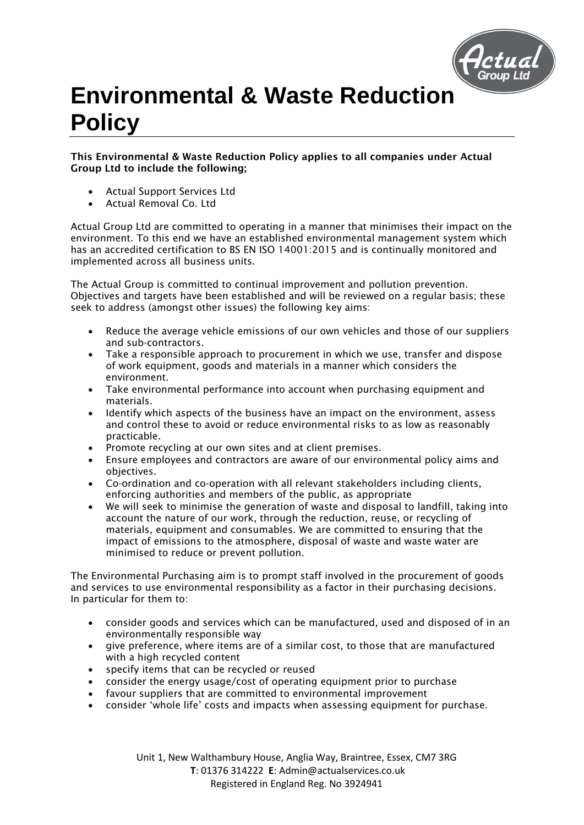

## **Environmental & Waste Reduction Policy**

This Environmental & Waste Reduction Policy applies to all companies under Actual Group Ltd to include the following;

- Actual Support Services Ltd
- Actual Removal Co. Ltd

Actual Group Ltd are committed to operating in a manner that minimises their impact on the environment. To this end we have an established environmental management system which has an accredited certification to BS EN ISO 14001:2015 and is continually monitored and implemented across all business units.

The Actual Group is committed to continual improvement and pollution prevention. Objectives and targets have been established and will be reviewed on a regular basis; these seek to address (amongst other issues) the following key aims:

- Reduce the average vehicle emissions of our own vehicles and those of our suppliers and sub-contractors.
- Take a responsible approach to procurement in which we use, transfer and dispose of work equipment, goods and materials in a manner which considers the environment.
- Take environmental performance into account when purchasing equipment and materials.
- Identify which aspects of the business have an impact on the environment, assess and control these to avoid or reduce environmental risks to as low as reasonably practicable.
- Promote recycling at our own sites and at client premises.
- Ensure employees and contractors are aware of our environmental policy aims and objectives.
- Co-ordination and co-operation with all relevant stakeholders including clients, enforcing authorities and members of the public, as appropriate
- We will seek to minimise the generation of waste and disposal to landfill, taking into account the nature of our work, through the reduction, reuse, or recycling of materials, equipment and consumables. We are committed to ensuring that the impact of emissions to the atmosphere, disposal of waste and waste water are minimised to reduce or prevent pollution.

The Environmental Purchasing aim is to prompt staff involved in the procurement of goods and services to use environmental responsibility as a factor in their purchasing decisions. In particular for them to:

- consider goods and services which can be manufactured, used and disposed of in an environmentally responsible way
- give preference, where items are of a similar cost, to those that are manufactured with a high recycled content
- specify items that can be recycled or reused
- consider the energy usage/cost of operating equipment prior to purchase
- favour suppliers that are committed to environmental improvement
- consider 'whole life' costs and impacts when assessing equipment for purchase.

Unit 1, New Walthambury House, Anglia Way, Braintree, Essex, CM7 3RG **T**: 01376 314222 **E**: Admin@actualservices.co.uk Registered in England Reg. No 3924941